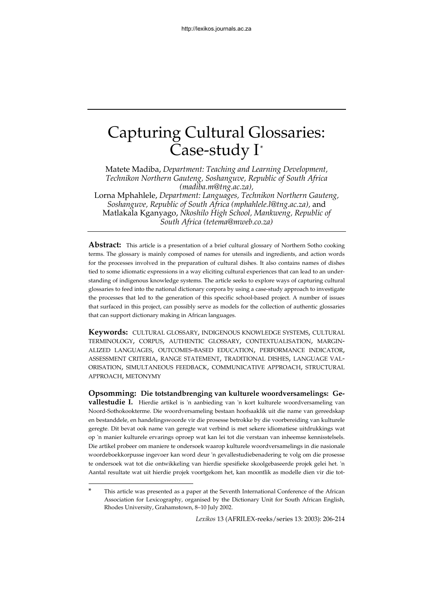# Capturing Cultural Glossaries: Case-study I[\\*](#page-0-0)

Matete Madiba, *Department: Teaching and Learning Development, Technikon Northern Gauteng, Soshanguve, Republic of South Africa (madiba.m@tng.ac.za),*  Lorna Mphahlele, *Department: Languages, Technikon Northern Gauteng, Soshanguve, Republic of South Africa (mphahlele.l@tng.ac.za),* and Matlakala Kganyago, *Nkoshilo High School, Mankweng, Republic of South Africa (tetema@mweb.co.za)* 

**Abstract:** This article is a presentation of a brief cultural glossary of Northern Sotho cooking terms. The glossary is mainly composed of names for utensils and ingredients, and action words for the processes involved in the preparation of cultural dishes. It also contains names of dishes tied to some idiomatic expressions in a way eliciting cultural experiences that can lead to an understanding of indigenous knowledge systems. The article seeks to explore ways of capturing cultural glossaries to feed into the national dictionary corpora by using a case-study approach to investigate the processes that led to the generation of this specific school-based project. A number of issues that surfaced in this project, can possibly serve as models for the collection of authentic glossaries that can support dictionary making in African languages.

**Keywords:** CULTURAL GLOSSARY, INDIGENOUS KNOWLEDGE SYSTEMS, CULTURAL TERMINOLOGY, CORPUS, AUTHENTIC GLOSSARY, CONTEXTUALISATION, MARGIN-ALIZED LANGUAGES, OUTCOMES-BASED EDUCATION, PERFORMANCE INDICATOR, ASSESSMENT CRITERIA, RANGE STATEMENT, TRADITIONAL DISHES, LANGUAGE VAL-ORISATION, SIMULTANEOUS FEEDBACK, COMMUNICATIVE APPROACH, STRUCTURAL APPROACH, METONYMY

**Opsomming: Die totstandbrenging van kulturele woordversamelings: Gevallestudie I.** Hierdie artikel is 'n aanbieding van 'n kort kulturele woordversameling van Noord-Sothokookterme. Die woordversameling bestaan hoofsaaklik uit die name van gereedskap en bestanddele, en handelingswoorde vir die prosesse betrokke by die voorbereiding van kulturele geregte. Dit bevat ook name van geregte wat verbind is met sekere idiomatiese uitdrukkings wat op 'n manier kulturele ervarings oproep wat kan lei tot die verstaan van inheemse kennisstelsels. Die artikel probeer om maniere te ondersoek waarop kulturele woordversamelings in die nasionale woordeboekkorpusse ingevoer kan word deur 'n gevallestudiebenadering te volg om die prosesse te ondersoek wat tot die ontwikkeling van hierdie spesifieke skoolgebaseerde projek gelei het. 'n Aantal resultate wat uit hierdie projek voortgekom het, kan moontlik as modelle dien vir die tot-

l

*Lexikos* 13 (AFRILEX-reeks/series 13: 2003): 206-214

<span id="page-0-0"></span>This article was presented as a paper at the Seventh International Conference of the African Association for Lexicography, organised by the Dictionary Unit for South African English, Rhodes University, Grahamstown, 8–10 July 2002.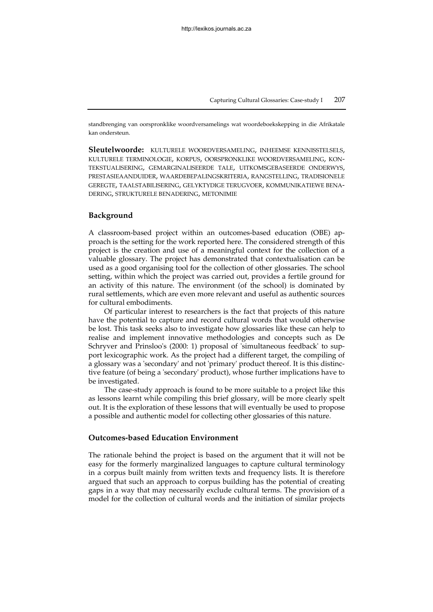standbrenging van oorspronklike woordversamelings wat woordeboekskepping in die Afrikatale kan ondersteun.

**Sleutelwoorde:** KULTURELE WOORDVERSAMELING, INHEEMSE KENNISSTELSELS, KULTURELE TERMINOLOGIE, KORPUS, OORSPRONKLIKE WOORDVERSAMELING, KON-TEKSTUALISERING, GEMARGINALISEERDE TALE, UITKOMSGEBASEERDE ONDERWYS, PRESTASIEAANDUIDER, WAARDEBEPALINGSKRITERIA, RANGSTELLING, TRADISIONELE GEREGTE, TAALSTABILISERING, GELYKTYDIGE TERUGVOER, KOMMUNIKATIEWE BENA-DERING, STRUKTURELE BENADERING, METONIMIE

#### **Background**

A classroom-based project within an outcomes-based education (OBE) approach is the setting for the work reported here. The considered strength of this project is the creation and use of a meaningful context for the collection of a valuable glossary. The project has demonstrated that contextualisation can be used as a good organising tool for the collection of other glossaries. The school setting, within which the project was carried out, provides a fertile ground for an activity of this nature. The environment (of the school) is dominated by rural settlements, which are even more relevant and useful as authentic sources for cultural embodiments.

Of particular interest to researchers is the fact that projects of this nature have the potential to capture and record cultural words that would otherwise be lost. This task seeks also to investigate how glossaries like these can help to realise and implement innovative methodologies and concepts such as De Schryver and Prinsloo's (2000: 1) proposal of 'simultaneous feedback' to support lexicographic work. As the project had a different target, the compiling of a glossary was a 'secondary' and not 'primary' product thereof. It is this distinctive feature (of being a 'secondary' product), whose further implications have to be investigated.

The case-study approach is found to be more suitable to a project like this as lessons learnt while compiling this brief glossary, will be more clearly spelt out. It is the exploration of these lessons that will eventually be used to propose a possible and authentic model for collecting other glossaries of this nature.

#### **Outcomes-based Education Environment**

The rationale behind the project is based on the argument that it will not be easy for the formerly marginalized languages to capture cultural terminology in a corpus built mainly from written texts and frequency lists. It is therefore argued that such an approach to corpus building has the potential of creating gaps in a way that may necessarily exclude cultural terms. The provision of a model for the collection of cultural words and the initiation of similar projects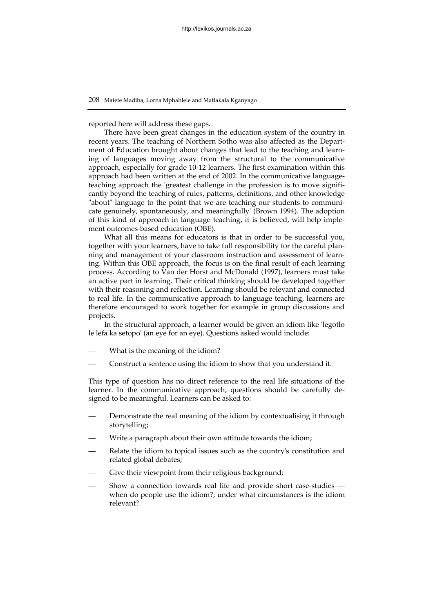208 Matete Madiba, Lorna Mphahlele and Matlakala Kganyago

reported here will address these gaps.

There have been great changes in the education system of the country in recent years. The teaching of Northern Sotho was also affected as the Department of Education brought about changes that lead to the teaching and learning of languages moving away from the structural to the communicative approach, especially for grade 10-12 learners. The first examination within this approach had been written at the end of 2002. In the communicative languageteaching approach the 'greatest challenge in the profession is to move significantly beyond the teaching of rules, patterns, definitions, and other knowledge "about" language to the point that we are teaching our students to communicate genuinely, spontaneously, and meaningfully' (Brown 1994). The adoption of this kind of approach in language teaching, it is believed, will help implement outcomes-based education (OBE).

What all this means for educators is that in order to be successful you, together with your learners, have to take full responsibility for the careful planning and management of your classroom instruction and assessment of learning. Within this OBE approach, the focus is on the final result of each learning process. According to Van der Horst and McDonald (1997), learners must take an active part in learning. Their critical thinking should be developed together with their reasoning and reflection. Learning should be relevant and connected to real life. In the communicative approach to language teaching, learners are therefore encouraged to work together for example in group discussions and projects.

In the structural approach, a learner would be given an idiom like 'legotlo le lefa ka setopo' (an eye for an eye). Questions asked would include:

- What is the meaning of the idiom?
- Construct a sentence using the idiom to show that you understand it.

This type of question has no direct reference to the real life situations of the learner. In the communicative approach, questions should be carefully designed to be meaningful. Learners can be asked to:

- Demonstrate the real meaning of the idiom by contextualising it through storytelling;
- Write a paragraph about their own attitude towards the idiom;
- Relate the idiom to topical issues such as the country's constitution and related global debates;
- Give their viewpoint from their religious background;
- Show a connection towards real life and provide short case-studies when do people use the idiom?; under what circumstances is the idiom relevant?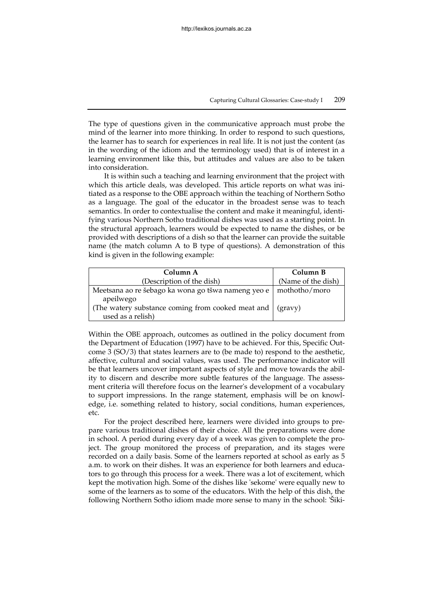The type of questions given in the communicative approach must probe the mind of the learner into more thinking. In order to respond to such questions, the learner has to search for experiences in real life. It is not just the content (as in the wording of the idiom and the terminology used) that is of interest in a learning environment like this, but attitudes and values are also to be taken into consideration.

It is within such a teaching and learning environment that the project with which this article deals, was developed. This article reports on what was initiated as a response to the OBE approach within the teaching of Northern Sotho as a language. The goal of the educator in the broadest sense was to teach semantics. In order to contextualise the content and make it meaningful, identifying various Northern Sotho traditional dishes was used as a starting point. In the structural approach, learners would be expected to name the dishes, or be provided with descriptions of a dish so that the learner can provide the suitable name (the match column A to B type of questions). A demonstration of this kind is given in the following example:

| Column A                                                                         | Column B           |
|----------------------------------------------------------------------------------|--------------------|
| (Description of the dish)                                                        | (Name of the dish) |
| Meetsana ao re šebago ka wona go tšwa nameng yeo e   mothotho/moro<br>apeilwego  |                    |
| (The watery substance coming from cooked meat and   (gravy)<br>used as a relish) |                    |

Within the OBE approach, outcomes as outlined in the policy document from the Department of Education (1997) have to be achieved. For this, Specific Outcome 3 (SO/3) that states learners are to (be made to) respond to the aesthetic, affective, cultural and social values, was used. The performance indicator will be that learners uncover important aspects of style and move towards the ability to discern and describe more subtle features of the language. The assessment criteria will therefore focus on the learner's development of a vocabulary to support impressions. In the range statement, emphasis will be on knowledge, i.e. something related to history, social conditions, human experiences, etc.

For the project described here, learners were divided into groups to prepare various traditional dishes of their choice. All the preparations were done in school. A period during every day of a week was given to complete the project. The group monitored the process of preparation, and its stages were recorded on a daily basis. Some of the learners reported at school as early as 5 a.m. to work on their dishes. It was an experience for both learners and educators to go through this process for a week. There was a lot of excitement, which kept the motivation high. Some of the dishes like 'sekome' were equally new to some of the learners as to some of the educators. With the help of this dish, the following Northern Sotho idiom made more sense to many in the school: 'Šiki-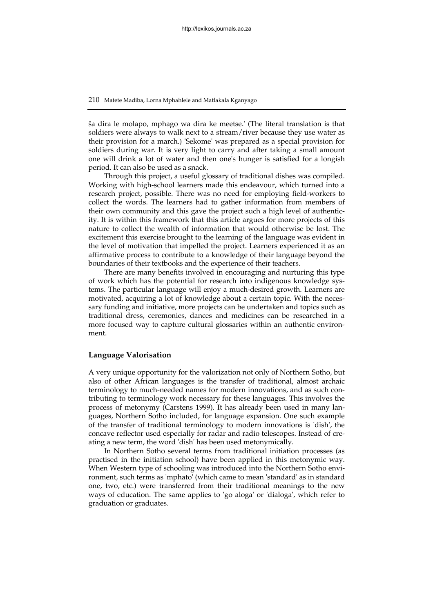#### 210 Matete Madiba, Lorna Mphahlele and Matlakala Kganyago

ša dira le molapo, mphago wa dira ke meetse.' (The literal translation is that soldiers were always to walk next to a stream/river because they use water as their provision for a march.) 'Sekome' was prepared as a special provision for soldiers during war. It is very light to carry and after taking a small amount one will drink a lot of water and then one's hunger is satisfied for a longish period. It can also be used as a snack.

Through this project, a useful glossary of traditional dishes was compiled. Working with high-school learners made this endeavour, which turned into a research project, possible. There was no need for employing field-workers to collect the words. The learners had to gather information from members of their own community and this gave the project such a high level of authenticity. It is within this framework that this article argues for more projects of this nature to collect the wealth of information that would otherwise be lost. The excitement this exercise brought to the learning of the language was evident in the level of motivation that impelled the project. Learners experienced it as an affirmative process to contribute to a knowledge of their language beyond the boundaries of their textbooks and the experience of their teachers.

There are many benefits involved in encouraging and nurturing this type of work which has the potential for research into indigenous knowledge systems. The particular language will enjoy a much-desired growth. Learners are motivated, acquiring a lot of knowledge about a certain topic. With the necessary funding and initiative, more projects can be undertaken and topics such as traditional dress, ceremonies, dances and medicines can be researched in a more focused way to capture cultural glossaries within an authentic environment.

### **Language Valorisation**

A very unique opportunity for the valorization not only of Northern Sotho, but also of other African languages is the transfer of traditional, almost archaic terminology to much-needed names for modern innovations, and as such contributing to terminology work necessary for these languages. This involves the process of metonymy (Carstens 1999). It has already been used in many languages, Northern Sotho included, for language expansion. One such example of the transfer of traditional terminology to modern innovations is 'dish', the concave reflector used especially for radar and radio telescopes. Instead of creating a new term, the word 'dish' has been used metonymically.

In Northern Sotho several terms from traditional initiation processes (as practised in the initiation school) have been applied in this metonymic way. When Western type of schooling was introduced into the Northern Sotho environment, such terms as 'mphato' (which came to mean 'standard' as in standard one, two, etc.) were transferred from their traditional meanings to the new ways of education. The same applies to 'go aloga' or 'dialoga', which refer to graduation or graduates.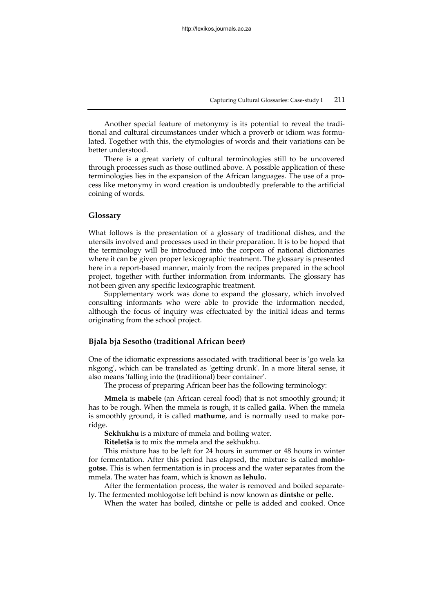Another special feature of metonymy is its potential to reveal the traditional and cultural circumstances under which a proverb or idiom was formulated. Together with this, the etymologies of words and their variations can be better understood.

There is a great variety of cultural terminologies still to be uncovered through processes such as those outlined above. A possible application of these terminologies lies in the expansion of the African languages. The use of a process like metonymy in word creation is undoubtedly preferable to the artificial coining of words.

#### **Glossary**

What follows is the presentation of a glossary of traditional dishes, and the utensils involved and processes used in their preparation. It is to be hoped that the terminology will be introduced into the corpora of national dictionaries where it can be given proper lexicographic treatment. The glossary is presented here in a report-based manner, mainly from the recipes prepared in the school project, together with further information from informants. The glossary has not been given any specific lexicographic treatment.

Supplementary work was done to expand the glossary, which involved consulting informants who were able to provide the information needed, although the focus of inquiry was effectuated by the initial ideas and terms originating from the school project.

#### **Bjala bja Sesotho (traditional African beer)**

One of the idiomatic expressions associated with traditional beer is 'go wela ka nkgong', which can be translated as 'getting drunk'. In a more literal sense, it also means 'falling into the (traditional) beer container'.

The process of preparing African beer has the following terminology:

**Mmela** is **mabele** (an African cereal food) that is not smoothly ground; it has to be rough. When the mmela is rough, it is called **gaila**. When the mmela is smoothly ground, it is called **mathume**, and is normally used to make porridge.

**Sekhukhu** is a mixture of mmela and boiling water.

**Riteletša** is to mix the mmela and the sekhukhu.

This mixture has to be left for 24 hours in summer or 48 hours in winter for fermentation. After this period has elapsed, the mixture is called **mohlogotse.** This is when fermentation is in process and the water separates from the mmela. The water has foam, which is known as **lehulo.** 

After the fermentation process, the water is removed and boiled separately. The fermented mohlogotse left behind is now known as **dintshe** or **pelle.** 

When the water has boiled, dintshe or pelle is added and cooked. Once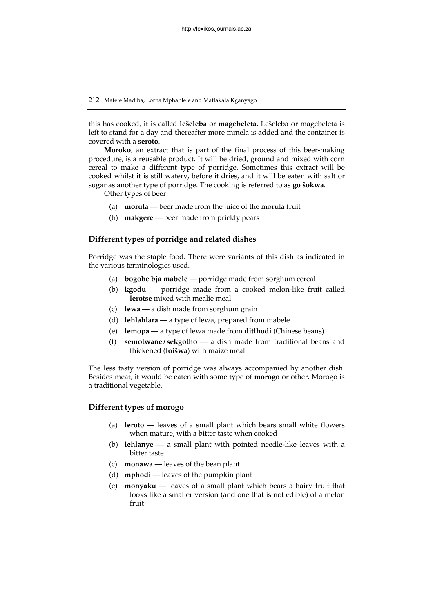this has cooked, it is called **lešeleba** or **magebeleta.** Lešeleba or magebeleta is left to stand for a day and thereafter more mmela is added and the container is covered with a **seroto**.

**Moroko**, an extract that is part of the final process of this beer-making procedure, is a reusable product. It will be dried, ground and mixed with corn cereal to make a different type of porridge. Sometimes this extract will be cooked whilst it is still watery, before it dries, and it will be eaten with salt or sugar as another type of porridge. The cooking is referred to as **go šokwa**.

Other types of beer

- (a) **morula** beer made from the juice of the morula fruit
- (b) **makgere** beer made from prickly pears

## **Different types of porridge and related dishes**

Porridge was the staple food. There were variants of this dish as indicated in the various terminologies used.

- (a) **bogobe bja mabele** porridge made from sorghum cereal
- (b) **kgodu** porridge made from a cooked melon-like fruit called **lerotse** mixed with mealie meal
- (c) **lewa**  a dish made from sorghum grain
- (d) **lehlahlara**  a type of lewa, prepared from mabele
- (e) **lemopa** a type of lewa made from **ditlhodi** (Chinese beans)
- (f) **semotwane / sekgotho** a dish made from traditional beans and thickened (**loišwa**) with maize meal

The less tasty version of porridge was always accompanied by another dish. Besides meat, it would be eaten with some type of **morogo** or other. Morogo is a traditional vegetable.

#### **Different types of morogo**

- (a) **leroto** leaves of a small plant which bears small white flowers when mature, with a bitter taste when cooked
- (b) **lehlanye**  a small plant with pointed needle-like leaves with a bitter taste
- (c) **monawa** leaves of the bean plant
- (d) **mphodi** leaves of the pumpkin plant
- (e) **monyaku**  leaves of a small plant which bears a hairy fruit that looks like a smaller version (and one that is not edible) of a melon fruit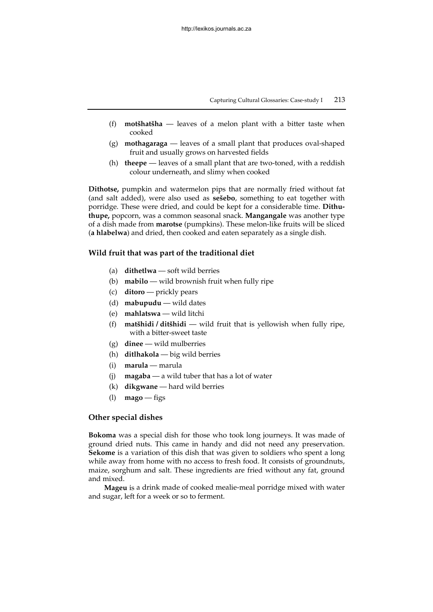- (f) **motšhatšha** leaves of a melon plant with a bitter taste when cooked
- (g) **mothagaraga** leaves of a small plant that produces oval-shaped fruit and usually grows on harvested fields
- (h) **theepe**  leaves of a small plant that are two-toned, with a reddish colour underneath, and slimy when cooked

**Dithotse,** pumpkin and watermelon pips that are normally fried without fat (and salt added), were also used as **sešebo**, something to eat together with porridge. These were dried, and could be kept for a considerable time. **Dithuthupe,** popcorn, was a common seasonal snack. **Mangangale** was another type of a dish made from **marotse** (pumpkins). These melon-like fruits will be sliced (**a hlabelwa**) and dried, then cooked and eaten separately as a single dish.

# **Wild fruit that was part of the traditional diet**

- (a) **dithetlwa** soft wild berries
- (b) **mabilo** wild brownish fruit when fully ripe
- (c) **ditoro** prickly pears
- (d) **mabupudu** wild dates
- (e) **mahlatswa** wild litchi
- (f) **matšhidi / ditšhidi** wild fruit that is yellowish when fully ripe, with a bitter-sweet taste
- (g) **dinee** wild mulberries
- (h) **ditlhakola** big wild berries
- (i) **marula**  marula
- (j) **magaba**  a wild tuber that has a lot of water
- (k) **dikgwane**  hard wild berries
- $(l)$  **mago** figs

## **Other special dishes**

**Bokoma** was a special dish for those who took long journeys. It was made of ground dried nuts. This came in handy and did not need any preservation. **Sekome** is a variation of this dish that was given to soldiers who spent a long while away from home with no access to fresh food. It consists of groundnuts, maize, sorghum and salt. These ingredients are fried without any fat, ground and mixed.

**Mageu** is a drink made of cooked mealie-meal porridge mixed with water and sugar, left for a week or so to ferment.